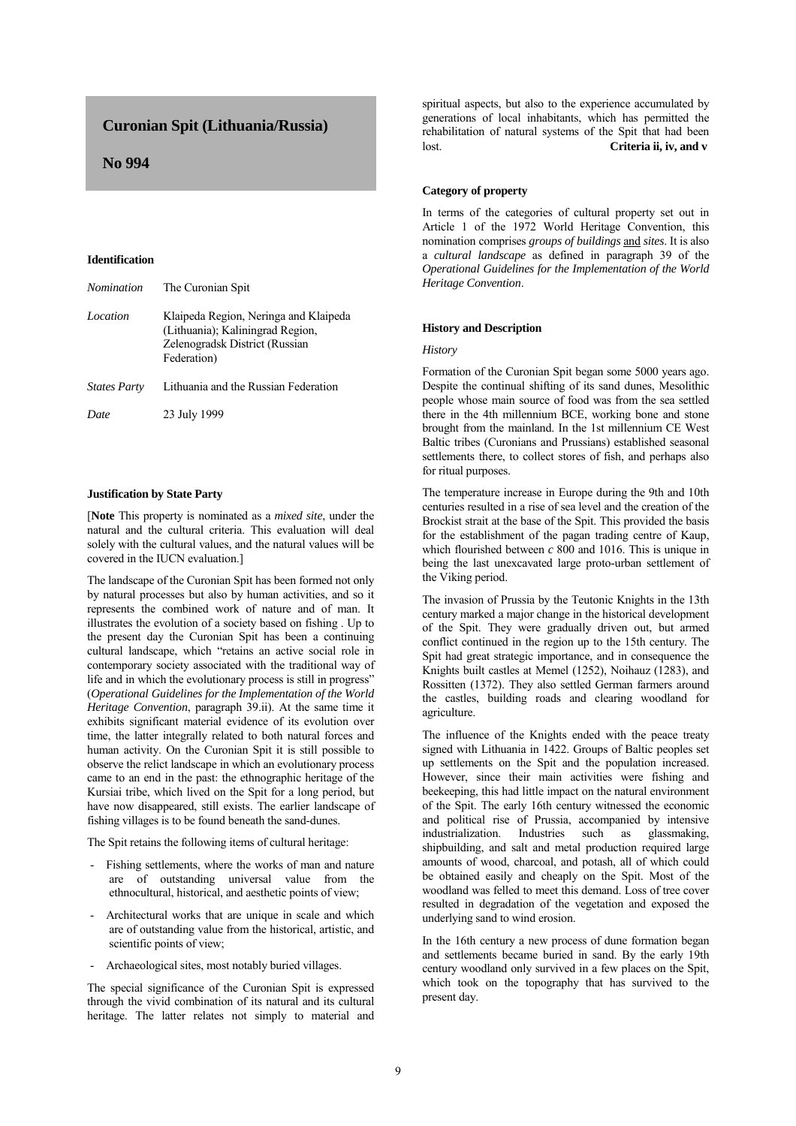# **Curonian Spit (Lithuania/Russia)**

# **No 994**

#### **Identification**

| Nomination          | The Curonian Spit                                                                                                          |
|---------------------|----------------------------------------------------------------------------------------------------------------------------|
| Location            | Klaipeda Region, Neringa and Klaipeda<br>(Lithuania); Kaliningrad Region,<br>Zelenogradsk District (Russian<br>Federation) |
| <b>States Party</b> | Lithuania and the Russian Federation                                                                                       |
| Date                | 23 July 1999                                                                                                               |

## **Justification by State Party**

[**Note** This property is nominated as a *mixed site*, under the natural and the cultural criteria. This evaluation will deal solely with the cultural values, and the natural values will be covered in the IUCN evaluation.]

The landscape of the Curonian Spit has been formed not only by natural processes but also by human activities, and so it represents the combined work of nature and of man. It illustrates the evolution of a society based on fishing . Up to the present day the Curonian Spit has been a continuing cultural landscape, which "retains an active social role in contemporary society associated with the traditional way of life and in which the evolutionary process is still in progress" (*Operational Guidelines for the Implementation of the World Heritage Convention*, paragraph 39.ii). At the same time it exhibits significant material evidence of its evolution over time, the latter integrally related to both natural forces and human activity. On the Curonian Spit it is still possible to observe the relict landscape in which an evolutionary process came to an end in the past: the ethnographic heritage of the Kursiai tribe, which lived on the Spit for a long period, but have now disappeared, still exists. The earlier landscape of fishing villages is to be found beneath the sand-dunes.

The Spit retains the following items of cultural heritage:

- Fishing settlements, where the works of man and nature are of outstanding universal value from the ethnocultural, historical, and aesthetic points of view;
- Architectural works that are unique in scale and which are of outstanding value from the historical, artistic, and scientific points of view;
- Archaeological sites, most notably buried villages.

The special significance of the Curonian Spit is expressed through the vivid combination of its natural and its cultural heritage. The latter relates not simply to material and spiritual aspects, but also to the experience accumulated by generations of local inhabitants, which has permitted the rehabilitation of natural systems of the Spit that had been lost. **Criteria ii, iv, and v** 

#### **Category of property**

In terms of the categories of cultural property set out in Article 1 of the 1972 World Heritage Convention, this nomination comprises *groups of buildings* and *sites*. It is also a *cultural landscape* as defined in paragraph 39 of the *Operational Guidelines for the Implementation of the World Heritage Convention*.

## **History and Description**

#### *History*

Formation of the Curonian Spit began some 5000 years ago. Despite the continual shifting of its sand dunes, Mesolithic people whose main source of food was from the sea settled there in the 4th millennium BCE, working bone and stone brought from the mainland. In the 1st millennium CE West Baltic tribes (Curonians and Prussians) established seasonal settlements there, to collect stores of fish, and perhaps also for ritual purposes.

The temperature increase in Europe during the 9th and 10th centuries resulted in a rise of sea level and the creation of the Brockist strait at the base of the Spit. This provided the basis for the establishment of the pagan trading centre of Kaup, which flourished between *c* 800 and 1016. This is unique in being the last unexcavated large proto-urban settlement of the Viking period.

The invasion of Prussia by the Teutonic Knights in the 13th century marked a major change in the historical development of the Spit. They were gradually driven out, but armed conflict continued in the region up to the 15th century. The Spit had great strategic importance, and in consequence the Knights built castles at Memel (1252), Noihauz (1283), and Rossitten (1372). They also settled German farmers around the castles, building roads and clearing woodland for agriculture.

The influence of the Knights ended with the peace treaty signed with Lithuania in 1422. Groups of Baltic peoples set up settlements on the Spit and the population increased. However, since their main activities were fishing and beekeeping, this had little impact on the natural environment of the Spit. The early 16th century witnessed the economic and political rise of Prussia, accompanied by intensive industrialization. Industries such as glassmaking, shipbuilding, and salt and metal production required large amounts of wood, charcoal, and potash, all of which could be obtained easily and cheaply on the Spit. Most of the woodland was felled to meet this demand. Loss of tree cover resulted in degradation of the vegetation and exposed the underlying sand to wind erosion.

In the 16th century a new process of dune formation began and settlements became buried in sand. By the early 19th century woodland only survived in a few places on the Spit, which took on the topography that has survived to the present day.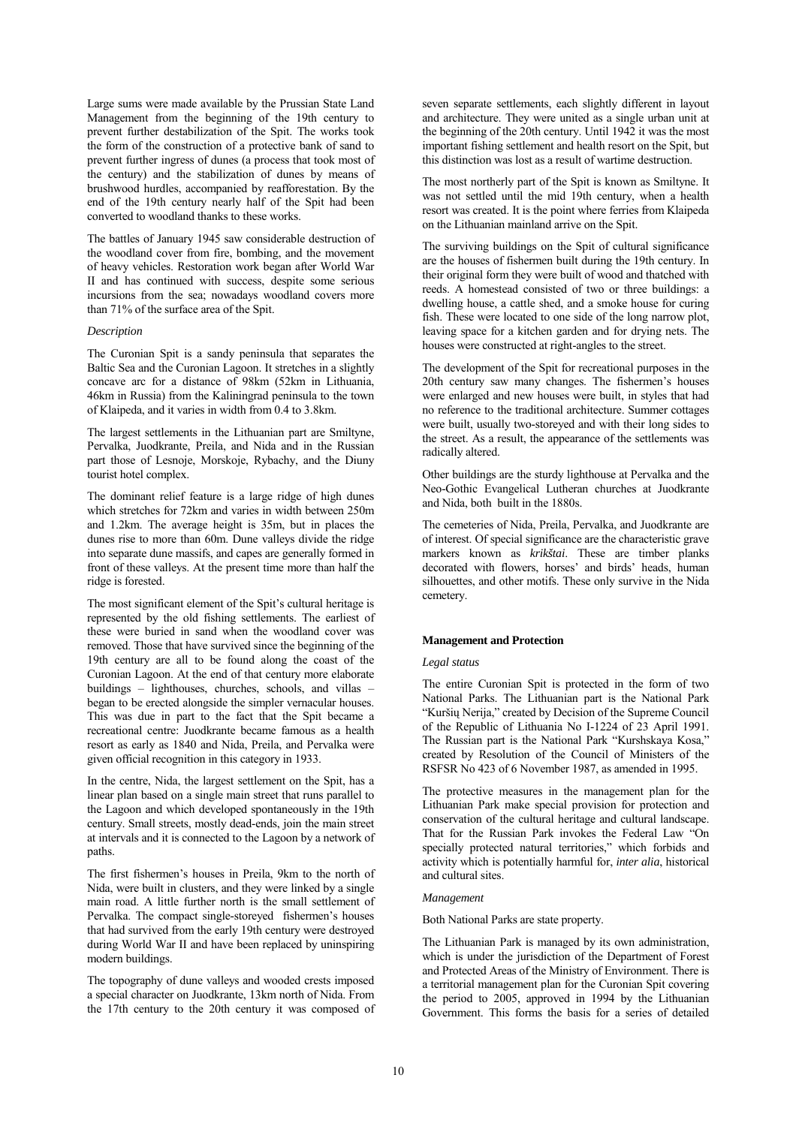Large sums were made available by the Prussian State Land Management from the beginning of the 19th century to prevent further destabilization of the Spit. The works took the form of the construction of a protective bank of sand to prevent further ingress of dunes (a process that took most of the century) and the stabilization of dunes by means of brushwood hurdles, accompanied by reafforestation. By the end of the 19th century nearly half of the Spit had been converted to woodland thanks to these works.

The battles of January 1945 saw considerable destruction of the woodland cover from fire, bombing, and the movement of heavy vehicles. Restoration work began after World War II and has continued with success, despite some serious incursions from the sea; nowadays woodland covers more than 71% of the surface area of the Spit.

# *Description*

The Curonian Spit is a sandy peninsula that separates the Baltic Sea and the Curonian Lagoon. It stretches in a slightly concave arc for a distance of 98km (52km in Lithuania, 46km in Russia) from the Kaliningrad peninsula to the town of Klaipeda, and it varies in width from 0.4 to 3.8km.

The largest settlements in the Lithuanian part are Smiltyne, Pervalka, Juodkrante, Preila, and Nida and in the Russian part those of Lesnoje, Morskoje, Rybachy, and the Diuny tourist hotel complex.

The dominant relief feature is a large ridge of high dunes which stretches for 72km and varies in width between 250m and 1.2km. The average height is 35m, but in places the dunes rise to more than 60m. Dune valleys divide the ridge into separate dune massifs, and capes are generally formed in front of these valleys. At the present time more than half the ridge is forested.

The most significant element of the Spit's cultural heritage is represented by the old fishing settlements. The earliest of these were buried in sand when the woodland cover was removed. Those that have survived since the beginning of the 19th century are all to be found along the coast of the Curonian Lagoon. At the end of that century more elaborate buildings – lighthouses, churches, schools, and villas – began to be erected alongside the simpler vernacular houses. This was due in part to the fact that the Spit became a recreational centre: Juodkrante became famous as a health resort as early as 1840 and Nida, Preila, and Pervalka were given official recognition in this category in 1933.

In the centre, Nida, the largest settlement on the Spit, has a linear plan based on a single main street that runs parallel to the Lagoon and which developed spontaneously in the 19th century. Small streets, mostly dead-ends, join the main street at intervals and it is connected to the Lagoon by a network of paths.

The first fishermen's houses in Preila, 9km to the north of Nida, were built in clusters, and they were linked by a single main road. A little further north is the small settlement of Pervalka. The compact single-storeyed fishermen's houses that had survived from the early 19th century were destroyed during World War II and have been replaced by uninspiring modern buildings.

The topography of dune valleys and wooded crests imposed a special character on Juodkrante, 13km north of Nida. From the 17th century to the 20th century it was composed of seven separate settlements, each slightly different in layout and architecture. They were united as a single urban unit at the beginning of the 20th century. Until 1942 it was the most important fishing settlement and health resort on the Spit, but this distinction was lost as a result of wartime destruction.

The most northerly part of the Spit is known as Smiltyne. It was not settled until the mid 19th century, when a health resort was created. It is the point where ferries from Klaipeda on the Lithuanian mainland arrive on the Spit.

The surviving buildings on the Spit of cultural significance are the houses of fishermen built during the 19th century. In their original form they were built of wood and thatched with reeds. A homestead consisted of two or three buildings: a dwelling house, a cattle shed, and a smoke house for curing fish. These were located to one side of the long narrow plot, leaving space for a kitchen garden and for drying nets. The houses were constructed at right-angles to the street.

The development of the Spit for recreational purposes in the 20th century saw many changes. The fishermen's houses were enlarged and new houses were built, in styles that had no reference to the traditional architecture. Summer cottages were built, usually two-storeyed and with their long sides to the street. As a result, the appearance of the settlements was radically altered.

Other buildings are the sturdy lighthouse at Pervalka and the Neo-Gothic Evangelical Lutheran churches at Juodkrante and Nida, both built in the 1880s.

The cemeteries of Nida, Preila, Pervalka, and Juodkrante are of interest. Of special significance are the characteristic grave markers known as *krikštai*. These are timber planks decorated with flowers, horses' and birds' heads, human silhouettes, and other motifs. These only survive in the Nida cemetery.

#### **Management and Protection**

#### *Legal status*

The entire Curonian Spit is protected in the form of two National Parks. The Lithuanian part is the National Park "Kuršių Nerija," created by Decision of the Supreme Council of the Republic of Lithuania No I-1224 of 23 April 1991. The Russian part is the National Park "Kurshskaya Kosa," created by Resolution of the Council of Ministers of the RSFSR No 423 of 6 November 1987, as amended in 1995.

The protective measures in the management plan for the Lithuanian Park make special provision for protection and conservation of the cultural heritage and cultural landscape. That for the Russian Park invokes the Federal Law "On specially protected natural territories," which forbids and activity which is potentially harmful for, *inter alia*, historical and cultural sites

## *Management*

Both National Parks are state property.

The Lithuanian Park is managed by its own administration, which is under the jurisdiction of the Department of Forest and Protected Areas of the Ministry of Environment. There is a territorial management plan for the Curonian Spit covering the period to 2005, approved in 1994 by the Lithuanian Government. This forms the basis for a series of detailed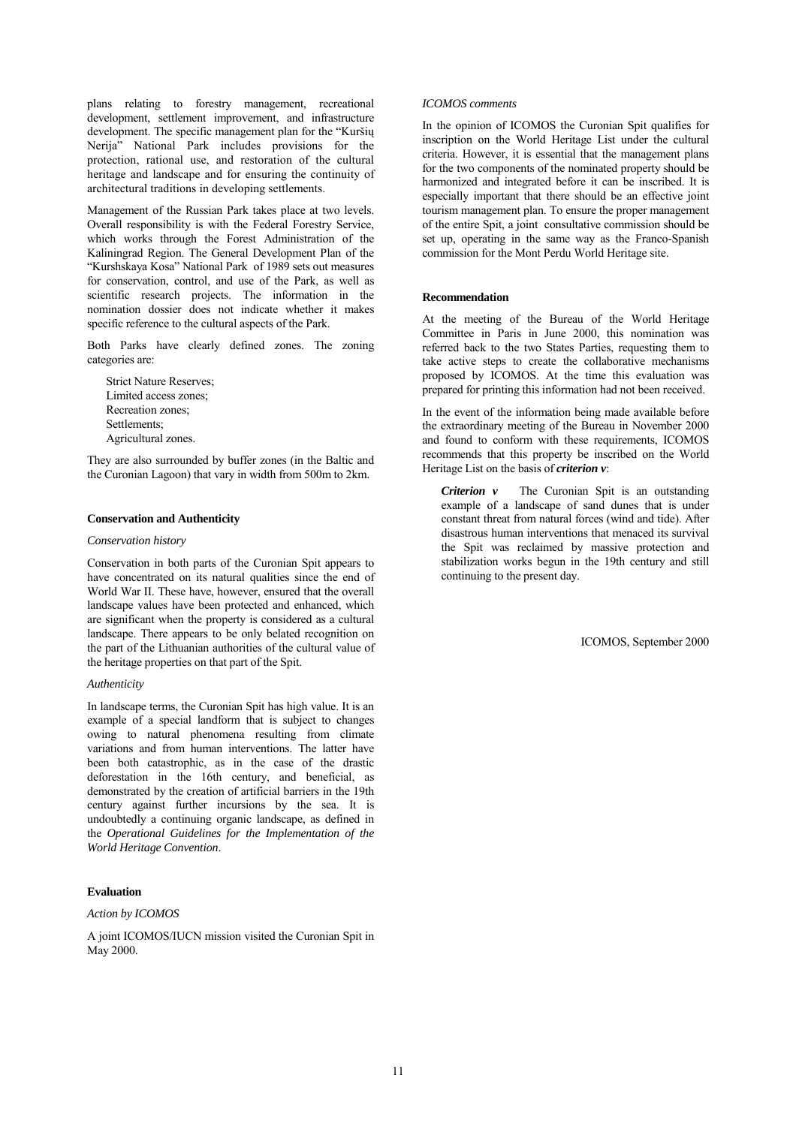plans relating to forestry management, recreational development, settlement improvement, and infrastructure development. The specific management plan for the "Kuršių Nerija" National Park includes provisions for the protection, rational use, and restoration of the cultural heritage and landscape and for ensuring the continuity of architectural traditions in developing settlements.

Management of the Russian Park takes place at two levels. Overall responsibility is with the Federal Forestry Service, which works through the Forest Administration of the Kaliningrad Region. The General Development Plan of the "Kurshskaya Kosa" National Park of 1989 sets out measures for conservation, control, and use of the Park, as well as scientific research projects. The information in the nomination dossier does not indicate whether it makes specific reference to the cultural aspects of the Park.

Both Parks have clearly defined zones. The zoning categories are:

Strict Nature Reserves; Limited access zones; Recreation zones; Settlements; Agricultural zones.

They are also surrounded by buffer zones (in the Baltic and the Curonian Lagoon) that vary in width from 500m to 2km.

## **Conservation and Authenticity**

#### *Conservation history*

Conservation in both parts of the Curonian Spit appears to have concentrated on its natural qualities since the end of World War II. These have, however, ensured that the overall landscape values have been protected and enhanced, which are significant when the property is considered as a cultural landscape. There appears to be only belated recognition on the part of the Lithuanian authorities of the cultural value of the heritage properties on that part of the Spit.

## *Authenticity*

In landscape terms, the Curonian Spit has high value. It is an example of a special landform that is subject to changes owing to natural phenomena resulting from climate variations and from human interventions. The latter have been both catastrophic, as in the case of the drastic deforestation in the 16th century, and beneficial, as demonstrated by the creation of artificial barriers in the 19th century against further incursions by the sea. It is undoubtedly a continuing organic landscape, as defined in the *Operational Guidelines for the Implementation of the World Heritage Convention*.

#### **Evaluation**

## *Action by ICOMOS*

A joint ICOMOS/IUCN mission visited the Curonian Spit in May 2000.

#### *ICOMOS comments*

In the opinion of ICOMOS the Curonian Spit qualifies for inscription on the World Heritage List under the cultural criteria. However, it is essential that the management plans for the two components of the nominated property should be harmonized and integrated before it can be inscribed. It is especially important that there should be an effective joint tourism management plan. To ensure the proper management of the entire Spit, a joint consultative commission should be set up, operating in the same way as the Franco-Spanish commission for the Mont Perdu World Heritage site.

#### **Recommendation**

At the meeting of the Bureau of the World Heritage Committee in Paris in June 2000, this nomination was referred back to the two States Parties, requesting them to take active steps to create the collaborative mechanisms proposed by ICOMOS. At the time this evaluation was prepared for printing this information had not been received.

In the event of the information being made available before the extraordinary meeting of the Bureau in November 2000 and found to conform with these requirements, ICOMOS recommends that this property be inscribed on the World Heritage List on the basis of *criterion v*:

*Criterion v* The Curonian Spit is an outstanding example of a landscape of sand dunes that is under constant threat from natural forces (wind and tide). After disastrous human interventions that menaced its survival the Spit was reclaimed by massive protection and stabilization works begun in the 19th century and still continuing to the present day.

ICOMOS, September 2000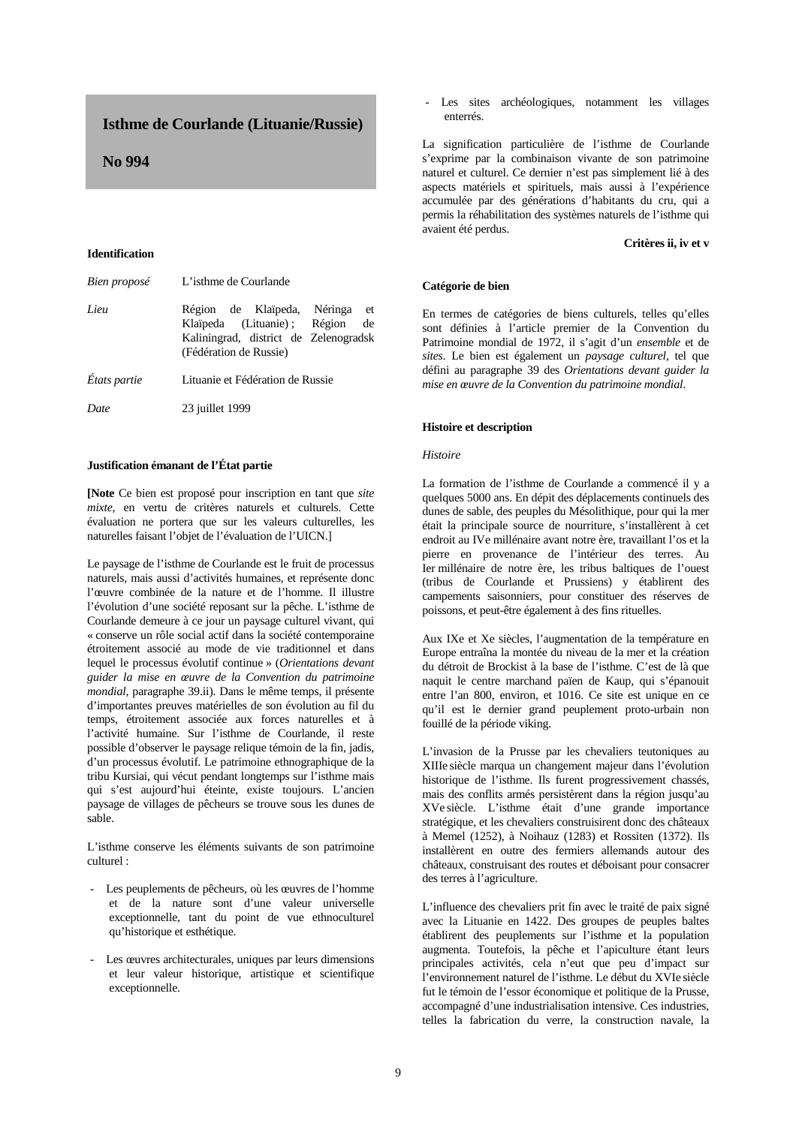# **Isthme de Courlande (Lituanie/Russie)**

# **No 994**

#### **Identification**

| Bien proposé | L'isthme de Courlande                                                                                                                     |
|--------------|-------------------------------------------------------------------------------------------------------------------------------------------|
| Lieu         | Région de Klaïpeda, Néringa<br>et<br>Klaïpeda (Lituanie); Région<br>de<br>Kaliningrad, district de Zelenogradsk<br>(Fédération de Russie) |
| États partie | Lituanie et Fédération de Russie                                                                                                          |
| Date         | 23 juillet 1999                                                                                                                           |

## **Justification émanant de l'État partie**

**[Note** Ce bien est proposé pour inscription en tant que *site mixte*, en vertu de critères naturels et culturels. Cette évaluation ne portera que sur les valeurs culturelles, les naturelles faisant l'objet de l'évaluation de l'UICN.]

Le paysage de l'isthme de Courlande est le fruit de processus naturels, mais aussi d'activités humaines, et représente donc l'œuvre combinée de la nature et de l'homme. Il illustre l'évolution d'une société reposant sur la pêche. L'isthme de Courlande demeure à ce jour un paysage culturel vivant, qui « conserve un rôle social actif dans la société contemporaine étroitement associé au mode de vie traditionnel et dans lequel le processus évolutif continue » (*Orientations devant guider la mise en œuvre de la Convention du patrimoine mondial*, paragraphe 39.ii). Dans le même temps, il présente d'importantes preuves matérielles de son évolution au fil du temps, étroitement associée aux forces naturelles et à l'activité humaine. Sur l'isthme de Courlande, il reste possible d'observer le paysage relique témoin de la fin, jadis, d'un processus évolutif. Le patrimoine ethnographique de la tribu Kursiai, qui vécut pendant longtemps sur l'isthme mais qui s'est aujourd'hui éteinte, existe toujours. L'ancien paysage de villages de pêcheurs se trouve sous les dunes de sable.

L'isthme conserve les éléments suivants de son patrimoine culturel :

- Les peuplements de pêcheurs, où les œuvres de l'homme et de la nature sont d'une valeur universelle exceptionnelle, tant du point de vue ethnoculturel qu'historique et esthétique.
- Les œuvres architecturales, uniques par leurs dimensions et leur valeur historique, artistique et scientifique exceptionnelle.

- Les sites archéologiques, notamment les villages enterrés.

La signification particulière de l'isthme de Courlande s'exprime par la combinaison vivante de son patrimoine naturel et culturel. Ce dernier n'est pas simplement lié à des aspects matériels et spirituels, mais aussi à l'expérience accumulée par des générations d'habitants du cru, qui a permis la réhabilitation des systèmes naturels de l'isthme qui avaient été perdus.

## **Critères ii, iv et v**

#### **Catégorie de bien**

En termes de catégories de biens culturels, telles qu'elles sont définies à l'article premier de la Convention du Patrimoine mondial de 1972, il s'agit d'un *ensemble* et de *sites*. Le bien est également un *paysage culturel*, tel que défini au paragraphe 39 des *Orientations devant guider la mise en œuvre de la Convention du patrimoine mondial*.

#### **Histoire et description**

## *Histoire*

La formation de l'isthme de Courlande a commencé il y a quelques 5000 ans. En dépit des déplacements continuels des dunes de sable, des peuples du Mésolithique, pour qui la mer était la principale source de nourriture, s'installèrent à cet endroit au IVe millénaire avant notre ère, travaillant l'os et la pierre en provenance de l'intérieur des terres. Au Ier millénaire de notre ère, les tribus baltiques de l'ouest (tribus de Courlande et Prussiens) y établirent des campements saisonniers, pour constituer des réserves de poissons, et peut-être également à des fins rituelles.

Aux IXe et Xe siècles, l'augmentation de la température en Europe entraîna la montée du niveau de la mer et la création du détroit de Brockist à la base de l'isthme. C'est de là que naquit le centre marchand païen de Kaup, qui s'épanouit entre l'an 800, environ, et 1016. Ce site est unique en ce qu'il est le dernier grand peuplement proto-urbain non fouillé de la période viking.

L'invasion de la Prusse par les chevaliers teutoniques au XIIIe siècle marqua un changement majeur dans l'évolution historique de l'isthme. Ils furent progressivement chassés, mais des conflits armés persistèrent dans la région jusqu'au XVe siècle. L'isthme était d'une grande importance stratégique, et les chevaliers construisirent donc des châteaux à Memel (1252), à Noihauz (1283) et Rossiten (1372). Ils installèrent en outre des fermiers allemands autour des châteaux, construisant des routes et déboisant pour consacrer des terres à l'agriculture.

L'influence des chevaliers prit fin avec le traité de paix signé avec la Lituanie en 1422. Des groupes de peuples baltes établirent des peuplements sur l'isthme et la population augmenta. Toutefois, la pêche et l'apiculture étant leurs principales activités, cela n'eut que peu d'impact sur l'environnement naturel de l'isthme. Le début du XVIe siècle fut le témoin de l'essor économique et politique de la Prusse, accompagné d'une industrialisation intensive. Ces industries, telles la fabrication du verre, la construction navale, la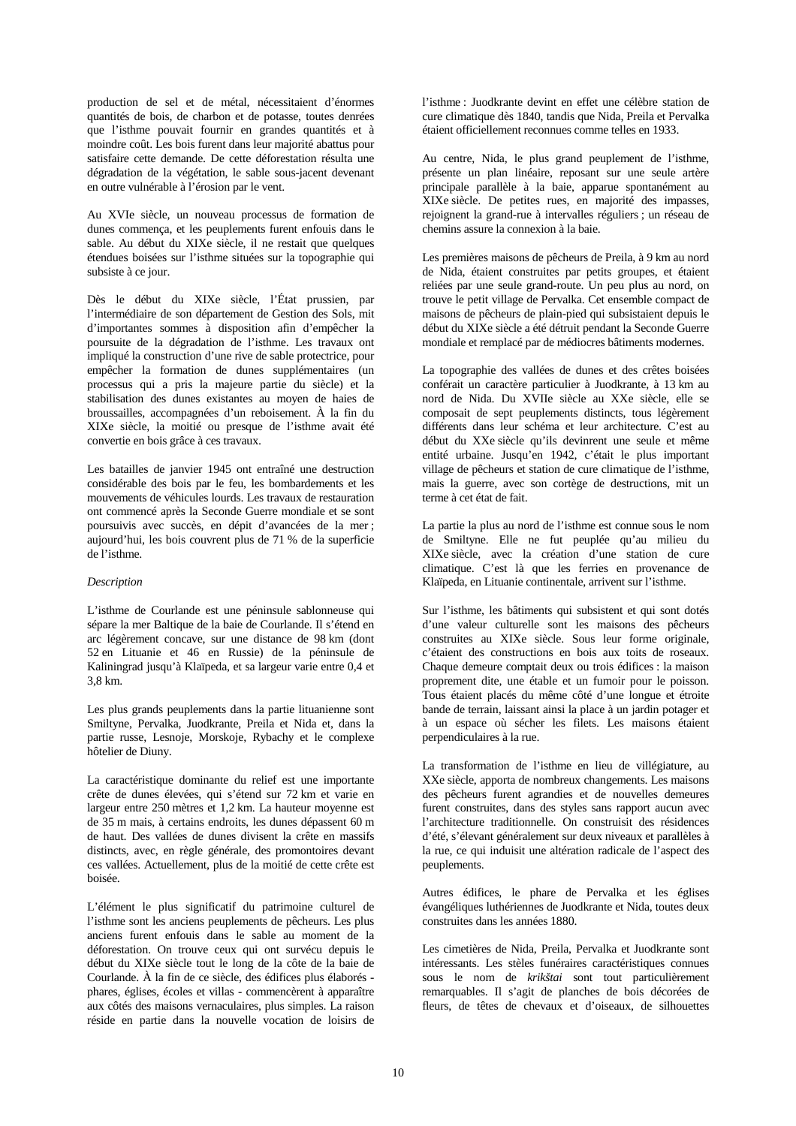production de sel et de métal, nécessitaient d'énormes quantités de bois, de charbon et de potasse, toutes denrées que l'isthme pouvait fournir en grandes quantités et à moindre coût. Les bois furent dans leur majorité abattus pour satisfaire cette demande. De cette déforestation résulta une dégradation de la végétation, le sable sous-jacent devenant en outre vulnérable à l'érosion par le vent.

Au XVIe siècle, un nouveau processus de formation de dunes commença, et les peuplements furent enfouis dans le sable. Au début du XIXe siècle, il ne restait que quelques étendues boisées sur l'isthme situées sur la topographie qui subsiste à ce jour.

Dès le début du XIXe siècle, l'État prussien, par l'intermédiaire de son département de Gestion des Sols, mit d'importantes sommes à disposition afin d'empêcher la poursuite de la dégradation de l'isthme. Les travaux ont impliqué la construction d'une rive de sable protectrice, pour empêcher la formation de dunes supplémentaires (un processus qui a pris la majeure partie du siècle) et la stabilisation des dunes existantes au moyen de haies de broussailles, accompagnées d'un reboisement. À la fin du XIXe siècle, la moitié ou presque de l'isthme avait été convertie en bois grâce à ces travaux.

Les batailles de janvier 1945 ont entraîné une destruction considérable des bois par le feu, les bombardements et les mouvements de véhicules lourds. Les travaux de restauration ont commencé après la Seconde Guerre mondiale et se sont poursuivis avec succès, en dépit d'avancées de la mer ; aujourd'hui, les bois couvrent plus de 71 % de la superficie de l'isthme.

## *Description*

L'isthme de Courlande est une péninsule sablonneuse qui sépare la mer Baltique de la baie de Courlande. Il s'étend en arc légèrement concave, sur une distance de 98 km (dont 52 en Lituanie et 46 en Russie) de la péninsule de Kaliningrad jusqu'à Klaïpeda, et sa largeur varie entre 0,4 et 3,8 km.

Les plus grands peuplements dans la partie lituanienne sont Smiltyne, Pervalka, Juodkrante, Preila et Nida et, dans la partie russe, Lesnoje, Morskoje, Rybachy et le complexe hôtelier de Diuny.

La caractéristique dominante du relief est une importante crête de dunes élevées, qui s'étend sur 72 km et varie en largeur entre 250 mètres et 1,2 km. La hauteur moyenne est de 35 m mais, à certains endroits, les dunes dépassent 60 m de haut. Des vallées de dunes divisent la crête en massifs distincts, avec, en règle générale, des promontoires devant ces vallées. Actuellement, plus de la moitié de cette crête est boisée.

L'élément le plus significatif du patrimoine culturel de l'isthme sont les anciens peuplements de pêcheurs. Les plus anciens furent enfouis dans le sable au moment de la déforestation. On trouve ceux qui ont survécu depuis le début du XIXe siècle tout le long de la côte de la baie de Courlande. À la fin de ce siècle, des édifices plus élaborés phares, églises, écoles et villas - commencèrent à apparaître aux côtés des maisons vernaculaires, plus simples. La raison réside en partie dans la nouvelle vocation de loisirs de l'isthme : Juodkrante devint en effet une célèbre station de cure climatique dès 1840, tandis que Nida, Preila et Pervalka étaient officiellement reconnues comme telles en 1933.

Au centre, Nida, le plus grand peuplement de l'isthme, présente un plan linéaire, reposant sur une seule artère principale parallèle à la baie, apparue spontanément au XIXe siècle. De petites rues, en majorité des impasses, rejoignent la grand-rue à intervalles réguliers ; un réseau de chemins assure la connexion à la baie.

Les premières maisons de pêcheurs de Preila, à 9 km au nord de Nida, étaient construites par petits groupes, et étaient reliées par une seule grand-route. Un peu plus au nord, on trouve le petit village de Pervalka. Cet ensemble compact de maisons de pêcheurs de plain-pied qui subsistaient depuis le début du XIXe siècle a été détruit pendant la Seconde Guerre mondiale et remplacé par de médiocres bâtiments modernes.

La topographie des vallées de dunes et des crêtes boisées conférait un caractère particulier à Juodkrante, à 13 km au nord de Nida. Du XVIIe siècle au XXe siècle, elle se composait de sept peuplements distincts, tous légèrement différents dans leur schéma et leur architecture. C'est au début du XXe siècle qu'ils devinrent une seule et même entité urbaine. Jusqu'en 1942, c'était le plus important village de pêcheurs et station de cure climatique de l'isthme, mais la guerre, avec son cortège de destructions, mit un terme à cet état de fait.

La partie la plus au nord de l'isthme est connue sous le nom de Smiltyne. Elle ne fut peuplée qu'au milieu du XIXe siècle, avec la création d'une station de cure climatique. C'est là que les ferries en provenance de Klaïpeda, en Lituanie continentale, arrivent sur l'isthme.

Sur l'isthme, les bâtiments qui subsistent et qui sont dotés d'une valeur culturelle sont les maisons des pêcheurs construites au XIXe siècle. Sous leur forme originale, c'étaient des constructions en bois aux toits de roseaux. Chaque demeure comptait deux ou trois édifices : la maison proprement dite, une étable et un fumoir pour le poisson. Tous étaient placés du même côté d'une longue et étroite bande de terrain, laissant ainsi la place à un jardin potager et à un espace où sécher les filets. Les maisons étaient perpendiculaires à la rue.

La transformation de l'isthme en lieu de villégiature, au XXe siècle, apporta de nombreux changements. Les maisons des pêcheurs furent agrandies et de nouvelles demeures furent construites, dans des styles sans rapport aucun avec l'architecture traditionnelle. On construisit des résidences d'été, s'élevant généralement sur deux niveaux et parallèles à la rue, ce qui induisit une altération radicale de l'aspect des peuplements.

Autres édifices, le phare de Pervalka et les églises évangéliques luthériennes de Juodkrante et Nida, toutes deux construites dans les années 1880.

Les cimetières de Nida, Preila, Pervalka et Juodkrante sont intéressants. Les stèles funéraires caractéristiques connues sous le nom de *krikštai* sont tout particulièrement remarquables. Il s'agit de planches de bois décorées de fleurs, de têtes de chevaux et d'oiseaux, de silhouettes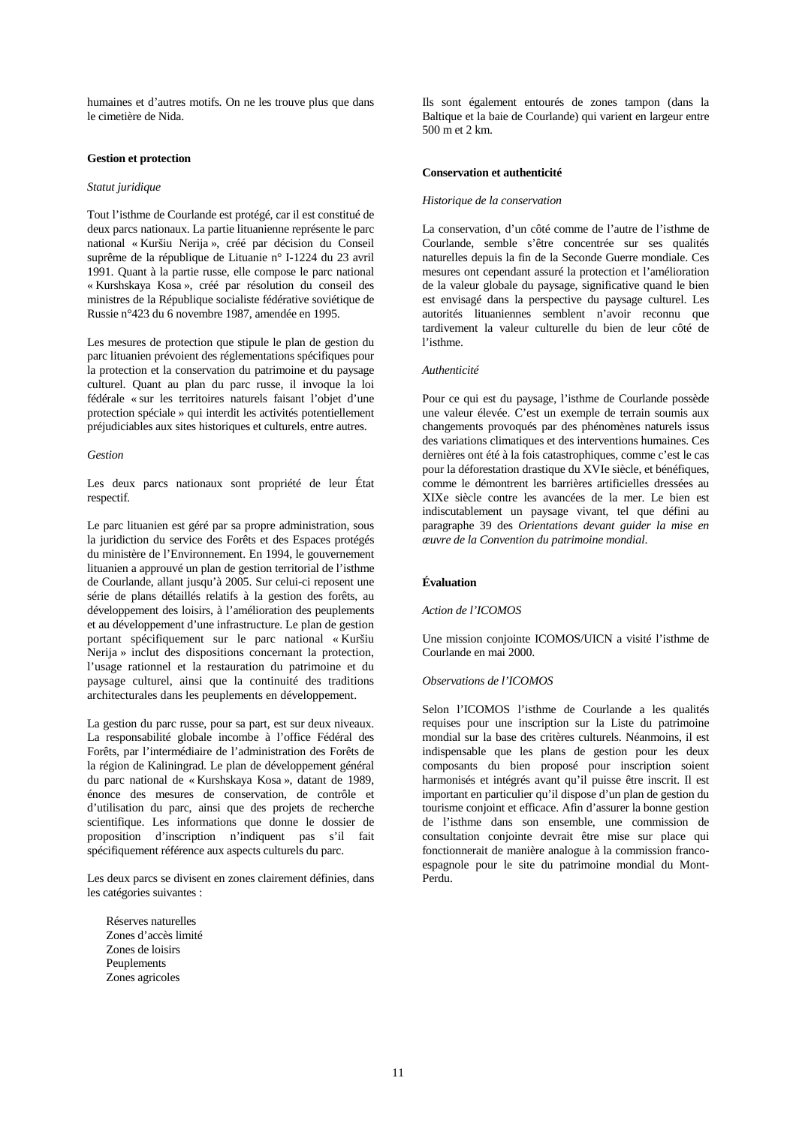humaines et d'autres motifs. On ne les trouve plus que dans le cimetière de Nida.

## **Gestion et protection**

#### *Statut juridique*

Tout l'isthme de Courlande est protégé, car il est constitué de deux parcs nationaux. La partie lituanienne représente le parc national « Kuršiu Nerija », créé par décision du Conseil suprême de la république de Lituanie n° I-1224 du 23 avril 1991. Quant à la partie russe, elle compose le parc national « Kurshskaya Kosa », créé par résolution du conseil des ministres de la République socialiste fédérative soviétique de Russie n°423 du 6 novembre 1987, amendée en 1995.

Les mesures de protection que stipule le plan de gestion du parc lituanien prévoient des réglementations spécifiques pour la protection et la conservation du patrimoine et du paysage culturel. Quant au plan du parc russe, il invoque la loi fédérale « sur les territoires naturels faisant l'objet d'une protection spéciale » qui interdit les activités potentiellement préjudiciables aux sites historiques et culturels, entre autres.

#### *Gestion*

Les deux parcs nationaux sont propriété de leur État respectif.

Le parc lituanien est géré par sa propre administration, sous la juridiction du service des Forêts et des Espaces protégés du ministère de l'Environnement. En 1994, le gouvernement lituanien a approuvé un plan de gestion territorial de l'isthme de Courlande, allant jusqu'à 2005. Sur celui-ci reposent une série de plans détaillés relatifs à la gestion des forêts, au développement des loisirs, à l'amélioration des peuplements et au développement d'une infrastructure. Le plan de gestion portant spécifiquement sur le parc national « Kuršiu Nerija » inclut des dispositions concernant la protection, l'usage rationnel et la restauration du patrimoine et du paysage culturel, ainsi que la continuité des traditions architecturales dans les peuplements en développement.

La gestion du parc russe, pour sa part, est sur deux niveaux. La responsabilité globale incombe à l'office Fédéral des Forêts, par l'intermédiaire de l'administration des Forêts de la région de Kaliningrad. Le plan de développement général du parc national de « Kurshskaya Kosa », datant de 1989, énonce des mesures de conservation, de contrôle et d'utilisation du parc, ainsi que des projets de recherche scientifique. Les informations que donne le dossier de proposition d'inscription n'indiquent pas s'il fait spécifiquement référence aux aspects culturels du parc.

Les deux parcs se divisent en zones clairement définies, dans les catégories suivantes :

Réserves naturelles Zones d'accès limité Zones de loisirs Peuplements Zones agricoles

Ils sont également entourés de zones tampon (dans la Baltique et la baie de Courlande) qui varient en largeur entre 500 m et 2 km.

#### **Conservation et authenticité**

#### *Historique de la conservation*

La conservation, d'un côté comme de l'autre de l'isthme de Courlande, semble s'être concentrée sur ses qualités naturelles depuis la fin de la Seconde Guerre mondiale. Ces mesures ont cependant assuré la protection et l'amélioration de la valeur globale du paysage, significative quand le bien est envisagé dans la perspective du paysage culturel. Les autorités lituaniennes semblent n'avoir reconnu que tardivement la valeur culturelle du bien de leur côté de l'isthme.

#### *Authenticité*

Pour ce qui est du paysage, l'isthme de Courlande possède une valeur élevée. C'est un exemple de terrain soumis aux changements provoqués par des phénomènes naturels issus des variations climatiques et des interventions humaines. Ces dernières ont été à la fois catastrophiques, comme c'est le cas pour la déforestation drastique du XVIe siècle, et bénéfiques, comme le démontrent les barrières artificielles dressées au XIXe siècle contre les avancées de la mer. Le bien est indiscutablement un paysage vivant, tel que défini au paragraphe 39 des *Orientations devant guider la mise en œuvre de la Convention du patrimoine mondial*.

## **Évaluation**

#### *Action de l'ICOMOS*

Une mission conjointe ICOMOS/UICN a visité l'isthme de Courlande en mai 2000.

## *Observations de l'ICOMOS*

Selon l'ICOMOS l'isthme de Courlande a les qualités requises pour une inscription sur la Liste du patrimoine mondial sur la base des critères culturels. Néanmoins, il est indispensable que les plans de gestion pour les deux composants du bien proposé pour inscription soient harmonisés et intégrés avant qu'il puisse être inscrit. Il est important en particulier qu'il dispose d'un plan de gestion du tourisme conjoint et efficace. Afin d'assurer la bonne gestion de l'isthme dans son ensemble, une commission de consultation conjointe devrait être mise sur place qui fonctionnerait de manière analogue à la commission francoespagnole pour le site du patrimoine mondial du Mont-Perdu.